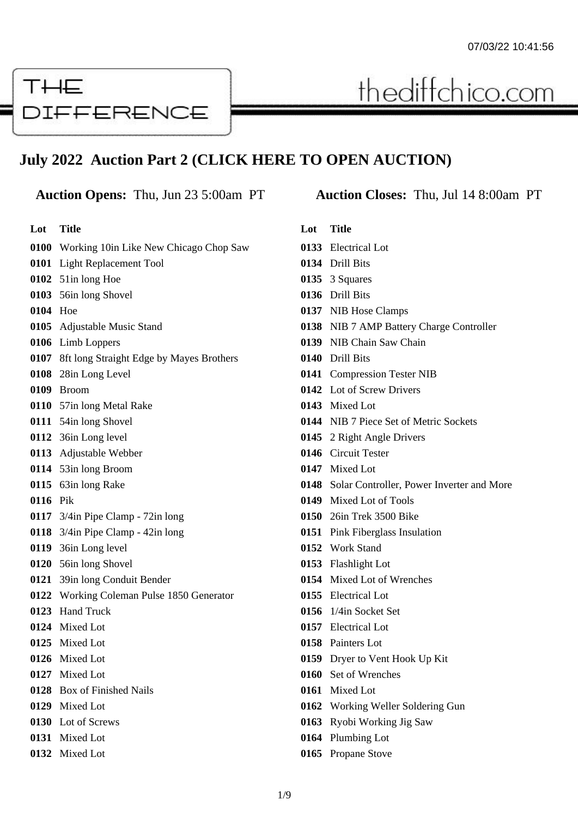# THE **DIFFERENCE**

# **July 2022 Auction Part 2 (CLICK HERE TO OPEN AUCTION)**

**Lot Title**

#### Working 10in Like New Chicago Chop Saw Light Replacement Tool

- 51in long Hoe
- 56in long Shovel
- Hoe
- Adjustable Music Stand
- Limb Loppers
- 8ft long Straight Edge by Mayes Brothers
- 28in Long Level
- Broom
- 57in long Metal Rake
- 54in long Shovel
- 36in Long level
- Adjustable Webber
- 53in long Broom
- 63in long Rake
- Pik
- 3/4in Pipe Clamp 72in long
- 3/4in Pipe Clamp 42in long
- 36in Long level
- 56in long Shovel
- 39in long Conduit Bender
- Working Coleman Pulse 1850 Generator
- Hand Truck
- Mixed Lot
- Mixed Lot
- Mixed Lot
- Mixed Lot
- Box of Finished Nails
- Mixed Lot
- Lot of Screws
- Mixed Lot
- Mixed Lot

### **Auction Opens:** Thu, Jun 23 5:00am PT **Auction Closes:** Thu, Jul 14 8:00am PT

thediffchico.com

- **Lot Title** Electrical Lot
- Drill Bits
- 
- 3 Squares
- Drill Bits
- NIB Hose Clamps
- NIB 7 AMP Battery Charge Controller
- NIB Chain Saw Chain
- Drill Bits
- Compression Tester NIB
- Lot of Screw Drivers
- Mixed Lot
- NIB 7 Piece Set of Metric Sockets
- 2 Right Angle Drivers
- Circuit Tester
- Mixed Lot
- Solar Controller, Power Inverter and More
- Mixed Lot of Tools
- 26in Trek 3500 Bike
- Pink Fiberglass Insulation
- Work Stand
- Flashlight Lot
- Mixed Lot of Wrenches
- Electrical Lot
- 1/4in Socket Set
- Electrical Lot
- Painters Lot
- Dryer to Vent Hook Up Kit
- Set of Wrenches
- Mixed Lot
- Working Weller Soldering Gun
- Ryobi Working Jig Saw
- Plumbing Lot
- Propane Stove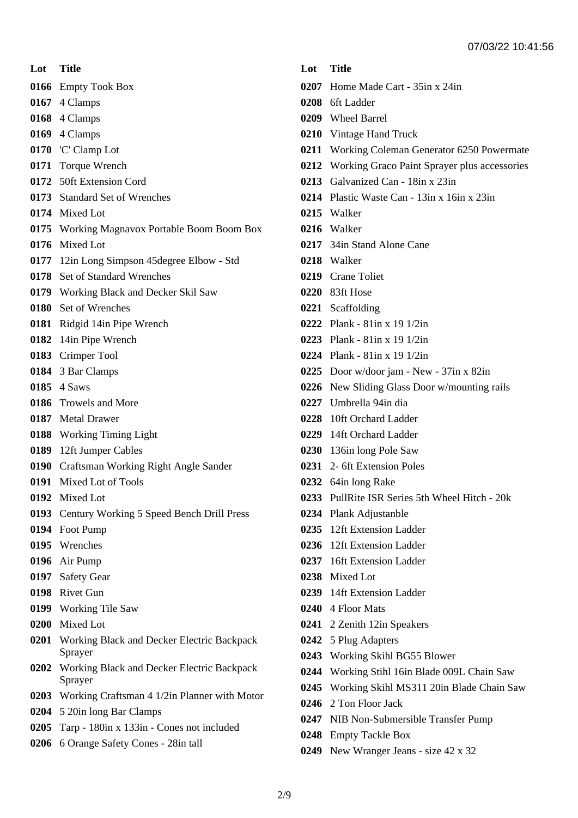**Lot Title**

Empty Took Box

- 4 Clamps
- 4 Clamps
- 4 Clamps
- 'C' Clamp Lot
- Torque Wrench
- 50ft Extension Cord
- Standard Set of Wrenches
- Mixed Lot
- Working Magnavox Portable Boom Boom Box
- Mixed Lot
- 12in Long Simpson 45degree Elbow Std
- Set of Standard Wrenches
- Working Black and Decker Skil Saw
- Set of Wrenches
- Ridgid 14in Pipe Wrench
- 14in Pipe Wrench
- Crimper Tool
- 3 Bar Clamps
- 4 Saws
- Trowels and More
- Metal Drawer
- Working Timing Light
- 12ft Jumper Cables
- Craftsman Working Right Angle Sander
- Mixed Lot of Tools
- Mixed Lot
- Century Working 5 Speed Bench Drill Press
- Foot Pump
- Wrenches
- Air Pump
- Safety Gear
- Rivet Gun
- Working Tile Saw
- Mixed Lot
- Working Black and Decker Electric Backpack Sprayer
- Working Black and Decker Electric Backpack Sprayer
- Working Craftsman 4 1/2in Planner with Motor
- 5 20in long Bar Clamps
- Tarp 180in x 133in Cones not included
- 6 Orange Safety Cones 28in tall

#### **Lot Title**

- Home Made Cart 35in x 24in
- 6ft Ladder
- Wheel Barrel
- Vintage Hand Truck
- Working Coleman Generator 6250 Powermate
- Working Graco Paint Sprayer plus accessories
- Galvanized Can 18in x 23in
- Plastic Waste Can 13in x 16in x 23in
- Walker
- Walker
- 34in Stand Alone Cane
- Walker
- Crane Toliet
- 83ft Hose
- Scaffolding
- Plank 81in x 19 1/2in
- Plank 81in x 19 1/2in
- Plank 81in x 19 1/2in
- Door w/door jam New 37in x 82in
- New Sliding Glass Door w/mounting rails
- Umbrella 94in dia
- 10ft Orchard Ladder
- 14ft Orchard Ladder
- 136in long Pole Saw
- 2- 6ft Extension Poles
- 64in long Rake
- PullRite ISR Series 5th Wheel Hitch 20k
- Plank Adjustanble
- 12ft Extension Ladder
- 12ft Extension Ladder
- 16ft Extension Ladder
- Mixed Lot
- 14ft Extension Ladder
- 4 Floor Mats
- 2 Zenith 12in Speakers
- 5 Plug Adapters
- Working Skihl BG55 Blower
- Working Stihl 16in Blade 009L Chain Saw
- Working Skihl MS311 20in Blade Chain Saw
- 2 Ton Floor Jack
- NIB Non-Submersible Transfer Pump
- Empty Tackle Box
- New Wranger Jeans size 42 x 32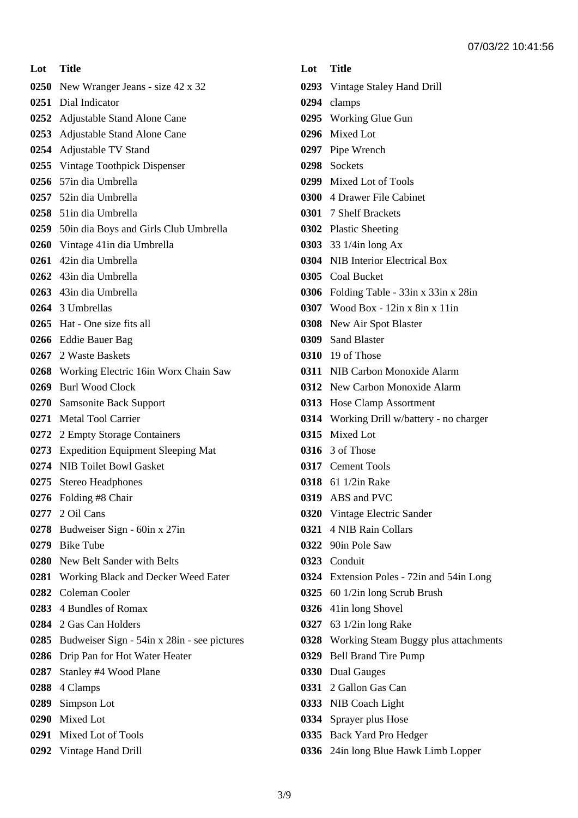**Lot Title** New Wranger Jeans - size 42 x 32 Dial Indicator Adjustable Stand Alone Cane Adjustable Stand Alone Cane Adjustable TV Stand Vintage Toothpick Dispenser 57in dia Umbrella 52in dia Umbrella 51in dia Umbrella 50in dia Boys and Girls Club Umbrella Vintage 41in dia Umbrella 42in dia Umbrella 43in dia Umbrella 43in dia Umbrella 3 Umbrellas Hat - One size fits all Eddie Bauer Bag 2 Waste Baskets Working Electric 16in Worx Chain Saw Burl Wood Clock Samsonite Back Support Metal Tool Carrier 2 Empty Storage Containers Expedition Equipment Sleeping Mat NIB Toilet Bowl Gasket Stereo Headphones Folding #8 Chair 2 Oil Cans Budweiser Sign - 60in x 27in Bike Tube New Belt Sander with Belts Working Black and Decker Weed Eater Coleman Cooler 4 Bundles of Romax 2 Gas Can Holders Budweiser Sign - 54in x 28in - see pictures Drip Pan for Hot Water Heater Stanley #4 Wood Plane 4 Clamps Simpson Lot Mixed Lot Mixed Lot of Tools

Vintage Hand Drill

|      | Lot Title                                 |
|------|-------------------------------------------|
|      | 0293 Vintage Staley Hand Drill            |
|      | 0294 clamps                               |
|      | 0295 Working Glue Gun                     |
|      | 0296 Mixed Lot                            |
|      | 0297 Pipe Wrench                          |
|      | 0298 Sockets                              |
|      | 0299 Mixed Lot of Tools                   |
|      | 0300 4 Drawer File Cabinet                |
|      | 0301 7 Shelf Brackets                     |
|      | 0302 Plastic Sheeting                     |
|      | 0303 33 1/4in long Ax                     |
|      | 0304 NIB Interior Electrical Box          |
|      | 0305 Coal Bucket                          |
|      | 0306 Folding Table - 33in x 33in x 28in   |
|      | 0307 Wood Box - 12in x 8in x 11in         |
|      | 0308 New Air Spot Blaster                 |
|      | 0309 Sand Blaster                         |
|      | 0310 19 of Those                          |
|      | 0311 NIB Carbon Monoxide Alarm            |
|      | 0312 New Carbon Monoxide Alarm            |
|      | 0313 Hose Clamp Assortment                |
|      | 0314 Working Drill w/battery - no charger |
|      | 0315 Mixed Lot                            |
|      | <b>0316</b> 3 of Those                    |
|      | 0317 Cement Tools                         |
|      | <b>0318</b> 61 1/2in Rake                 |
| 0319 | ABS and PVC                               |
|      | 0320 Vintage Electric Sander              |
|      | 0321 4 NIB Rain Collars                   |
|      | 0322 90in Pole Saw                        |
|      | 0323 Conduit                              |
|      | 0324 Extension Poles - 72in and 54in Long |
|      | 0325 60 1/2in long Scrub Brush            |
|      | 0326 41in long Shovel                     |
| 0327 | 63 1/2in long Rake                        |
|      | 0328 Working Steam Buggy plus attachments |
|      | 0329 Bell Brand Tire Pump                 |
|      | 0330 Dual Gauges                          |
|      | 0331 2 Gallon Gas Can                     |
|      | 0333 NIB Coach Light                      |
|      | 0334 Sprayer plus Hose                    |
|      | 0335 Back Yard Pro Hedger                 |

24in long Blue Hawk Limb Lopper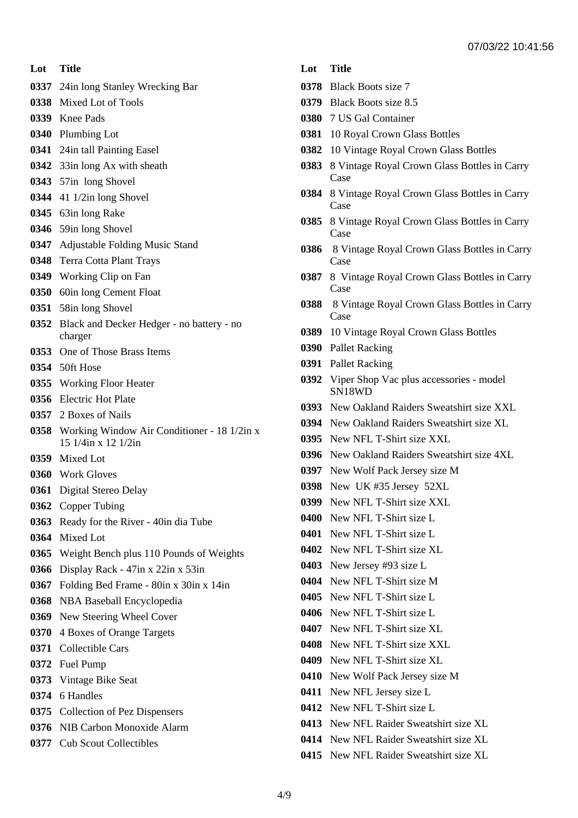**Lot Title**

- 24in long Stanley Wrecking Bar
- Mixed Lot of Tools
- Knee Pads
- Plumbing Lot
- 24in tall Painting Easel
- 33in long Ax with sheath
- 57in long Shovel
- 41 1/2in long Shovel
- 63in long Rake
- 59in long Shovel
- Adjustable Folding Music Stand
- Terra Cotta Plant Trays
- Working Clip on Fan
- 60in long Cement Float
- 58in long Shovel
- Black and Decker Hedger no battery no charger
- One of Those Brass Items
- 50ft Hose
- Working Floor Heater
- Electric Hot Plate
- 2 Boxes of Nails
- Working Window Air Conditioner 18 1/2in x 15 1/4in x 12 1/2in
- Mixed Lot
- Work Gloves
- Digital Stereo Delay
- Copper Tubing
- Ready for the River 40in dia Tube
- Mixed Lot
- Weight Bench plus 110 Pounds of Weights
- Display Rack 47in x 22in x 53in
- Folding Bed Frame 80in x 30in x 14in
- NBA Baseball Encyclopedia
- New Steering Wheel Cover
- 4 Boxes of Orange Targets
- Collectible Cars
- Fuel Pump
- Vintage Bike Seat
- 6 Handles
- Collection of Pez Dispensers
- NIB Carbon Monoxide Alarm
- Cub Scout Collectibles
- **Lot Title**
- Black Boots size 7
- Black Boots size 8.5
- 7 US Gal Container
- 10 Royal Crown Glass Bottles
- 10 Vintage Royal Crown Glass Bottles
- 8 Vintage Royal Crown Glass Bottles in Carry Case
- 8 Vintage Royal Crown Glass Bottles in Carry Case
- 8 Vintage Royal Crown Glass Bottles in Carry Case
- 8 Vintage Royal Crown Glass Bottles in Carry Case
- 8 Vintage Royal Crown Glass Bottles in Carry Case
- 8 Vintage Royal Crown Glass Bottles in Carry Case
- 10 Vintage Royal Crown Glass Bottles
- Pallet Racking
- Pallet Racking
- Viper Shop Vac plus accessories model SN18WD
- New Oakland Raiders Sweatshirt size XXL
- New Oakland Raiders Sweatshirt size XL
- New NFL T-Shirt size XXL
- New Oakland Raiders Sweatshirt size 4XL
- New Wolf Pack Jersey size M
- New UK #35 Jersey 52XL
- New NFL T-Shirt size XXL
- New NFL T-Shirt size L
- New NFL T-Shirt size L
- New NFL T-Shirt size XL
- New Jersey #93 size L
- New NFL T-Shirt size M
- New NFL T-Shirt size L
- New NFL T-Shirt size L
- New NFL T-Shirt size XL
- New NFL T-Shirt size XXL
- New NFL T-Shirt size XL
- New Wolf Pack Jersey size M
- New NFL Jersey size L
- New NFL T-Shirt size L
- New NFL Raider Sweatshirt size XL
- New NFL Raider Sweatshirt size XL
- New NFL Raider Sweatshirt size XL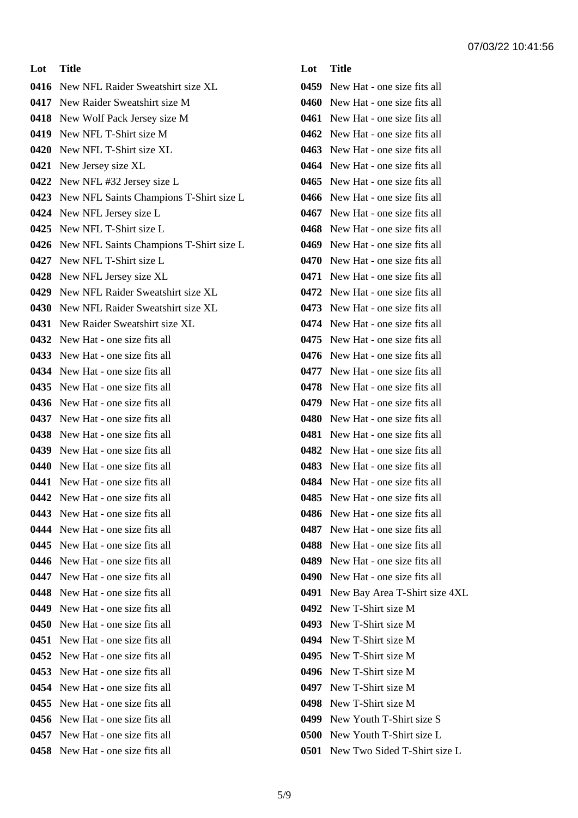**Lot Title** New NFL Raider Sweatshirt size XL New Raider Sweatshirt size M New Wolf Pack Jersey size M New NFL T-Shirt size M New NFL T-Shirt size XL New Jersey size XL New NFL #32 Jersey size L New NFL Saints Champions T-Shirt size L New NFL Jersey size L New NFL T-Shirt size L New NFL Saints Champions T-Shirt size L New NFL T-Shirt size L New NFL Jersey size XL New NFL Raider Sweatshirt size XL New NFL Raider Sweatshirt size XL New Raider Sweatshirt size XL New Hat - one size fits all New Hat - one size fits all New Hat - one size fits all New Hat - one size fits all New Hat - one size fits all New Hat - one size fits all New Hat - one size fits all New Hat - one size fits all New Hat - one size fits all New Hat - one size fits all New Hat - one size fits all New Hat - one size fits all New Hat - one size fits all New Hat - one size fits all New Hat - one size fits all New Hat - one size fits all New Hat - one size fits all New Hat - one size fits all New Hat - one size fits all New Hat - one size fits all New Hat - one size fits all New Hat - one size fits all New Hat - one size fits all New Hat - one size fits all New Hat - one size fits all New Hat - one size fits all New Hat - one size fits all

## **Lot Title** New Hat - one size fits all New Hat - one size fits all New Hat - one size fits all New Hat - one size fits all New Hat - one size fits all New Hat - one size fits all New Hat - one size fits all New Hat - one size fits all New Hat - one size fits all New Hat - one size fits all New Hat - one size fits all New Hat - one size fits all New Hat - one size fits all New Hat - one size fits all New Hat - one size fits all New Hat - one size fits all New Hat - one size fits all New Hat - one size fits all New Hat - one size fits all New Hat - one size fits all New Hat - one size fits all New Hat - one size fits all New Hat - one size fits all New Hat - one size fits all New Hat - one size fits all New Hat - one size fits all New Hat - one size fits all New Hat - one size fits all New Hat - one size fits all New Hat - one size fits all New Hat - one size fits all New Hat - one size fits all New Bay Area T-Shirt size 4XL New T-Shirt size M New T-Shirt size M New T-Shirt size M New T-Shirt size M New T-Shirt size M New T-Shirt size M New T-Shirt size M New Youth T-Shirt size S New Youth T-Shirt size L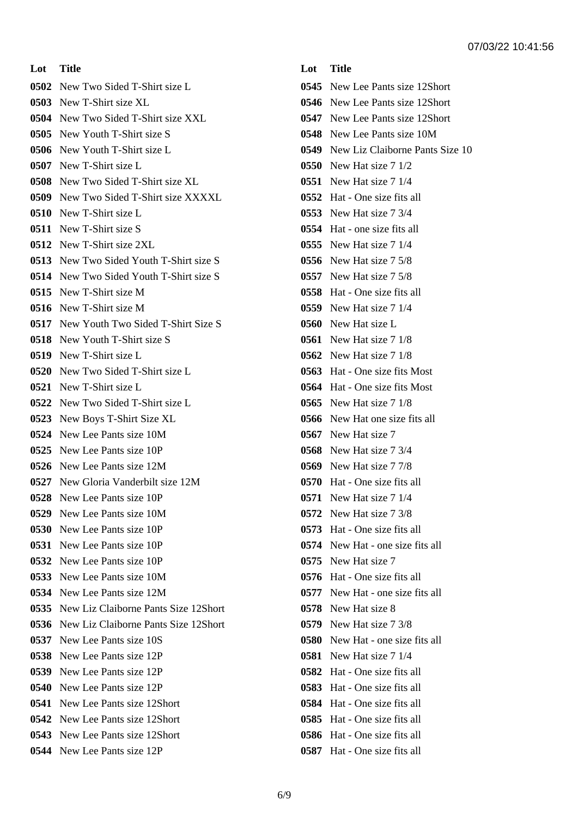**Lot Title** New Two Sided T-Shirt size L New T-Shirt size XL New Two Sided T-Shirt size XXL New Youth T-Shirt size S New Youth T-Shirt size L New T-Shirt size L New Two Sided T-Shirt size XL New Two Sided T-Shirt size XXXXL New T-Shirt size L New T-Shirt size S New T-Shirt size 2XL New Two Sided Youth T-Shirt size S New Two Sided Youth T-Shirt size S New T-Shirt size M New T-Shirt size M New Youth Two Sided T-Shirt Size S New Youth T-Shirt size S New T-Shirt size L New Two Sided T-Shirt size L New T-Shirt size L New Two Sided T-Shirt size L New Boys T-Shirt Size XL New Lee Pants size 10M New Lee Pants size 10P New Lee Pants size 12M New Gloria Vanderbilt size 12M New Lee Pants size 10P New Lee Pants size 10M New Lee Pants size 10P New Lee Pants size 10P New Lee Pants size 10P New Lee Pants size 10M New Lee Pants size 12M New Liz Claiborne Pants Size 12Short New Liz Claiborne Pants Size 12Short New Lee Pants size 10S New Lee Pants size 12P New Lee Pants size 12P New Lee Pants size 12P New Lee Pants size 12Short New Lee Pants size 12Short New Lee Pants size 12Short New Lee Pants size 12P

**Lot Title** New Lee Pants size 12Short New Lee Pants size 12Short New Lee Pants size 12Short New Lee Pants size 10M New Liz Claiborne Pants Size 10 New Hat size 7 1/2 New Hat size 7 1/4 Hat - One size fits all New Hat size 7 3/4 Hat - one size fits all New Hat size 7 1/4 New Hat size 7 5/8 New Hat size 7 5/8 Hat - One size fits all New Hat size 7 1/4 New Hat size L New Hat size 7 1/8 New Hat size 7 1/8 Hat - One size fits Most Hat - One size fits Most New Hat size 7 1/8 New Hat one size fits all New Hat size 7 New Hat size 7 3/4 New Hat size 7 7/8 Hat - One size fits all New Hat size 7 1/4 New Hat size 7 3/8 Hat - One size fits all New Hat - one size fits all New Hat size 7 Hat - One size fits all New Hat - one size fits all New Hat size 8 New Hat size 7 3/8 New Hat - one size fits all New Hat size 7 1/4 Hat - One size fits all Hat - One size fits all Hat - One size fits all Hat - One size fits all Hat - One size fits all Hat - One size fits all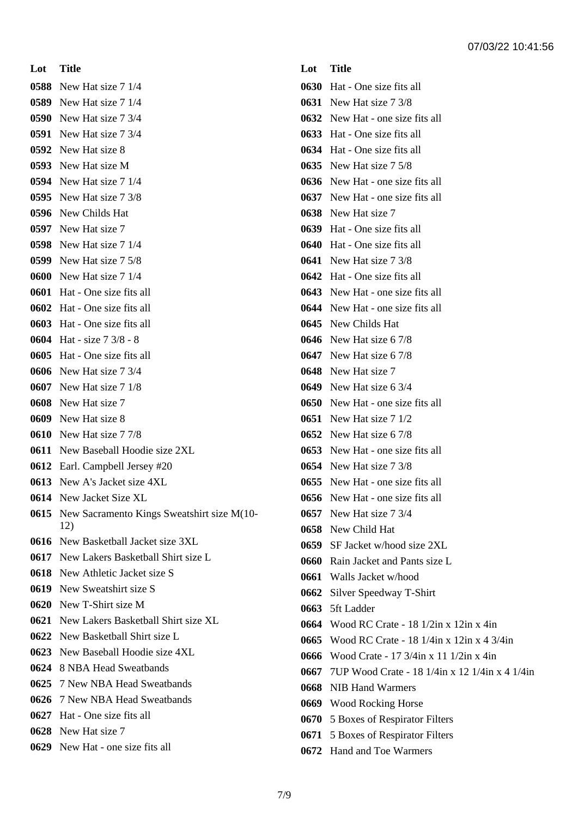**Lot Title** New Hat size 7 1/4 New Hat size 7 1/4 New Hat size 7 3/4 New Hat size 7 3/4 New Hat size 8 New Hat size M New Hat size 7 1/4 New Hat size 7 3/8 New Childs Hat New Hat size 7 New Hat size 7 1/4 New Hat size 7 5/8 New Hat size 7 1/4 Hat - One size fits all Hat - One size fits all Hat - One size fits all Hat - size 7 3/8 - 8 Hat - One size fits all New Hat size 7 3/4 New Hat size 7 1/8 New Hat size 7 New Hat size 8 New Hat size 7 7/8 New Baseball Hoodie size 2XL Earl. Campbell Jersey #20 New A's Jacket size 4XL New Jacket Size XL New Sacramento Kings Sweatshirt size M(10- 12) New Basketball Jacket size 3XL New Lakers Basketball Shirt size L New Athletic Jacket size S New Sweatshirt size S New T-Shirt size M New Lakers Basketball Shirt size XL New Basketball Shirt size L New Baseball Hoodie size 4XL 8 NBA Head Sweatbands 7 New NBA Head Sweatbands 7 New NBA Head Sweatbands Hat - One size fits all New Hat size 7

New Hat - one size fits all

# **Lot Title** Hat - One size fits all New Hat size 7 3/8 New Hat - one size fits all Hat - One size fits all Hat - One size fits all New Hat size 7 5/8 New Hat - one size fits all New Hat - one size fits all New Hat size 7 Hat - One size fits all Hat - One size fits all New Hat size 7 3/8 Hat - One size fits all New Hat - one size fits all New Hat - one size fits all New Childs Hat New Hat size 6 7/8 New Hat size 6 7/8 New Hat size 7 New Hat size 6 3/4 New Hat - one size fits all New Hat size 7 1/2 New Hat size 6 7/8 New Hat - one size fits all New Hat size 7 3/8 New Hat - one size fits all New Hat - one size fits all New Hat size 7 3/4 New Child Hat SF Jacket w/hood size 2XL Rain Jacket and Pants size L Walls Jacket w/hood Silver Speedway T-Shirt 5ft Ladder Wood RC Crate - 18 1/2in x 12in x 4in Wood RC Crate - 18 1/4in x 12in x 4 3/4in Wood Crate - 17 3/4in x 11 1/2in x 4in 7UP Wood Crate - 18 1/4in x 12 1/4in x 4 1/4in NIB Hand Warmers Wood Rocking Horse 5 Boxes of Respirator Filters 5 Boxes of Respirator Filters

Hand and Toe Warmers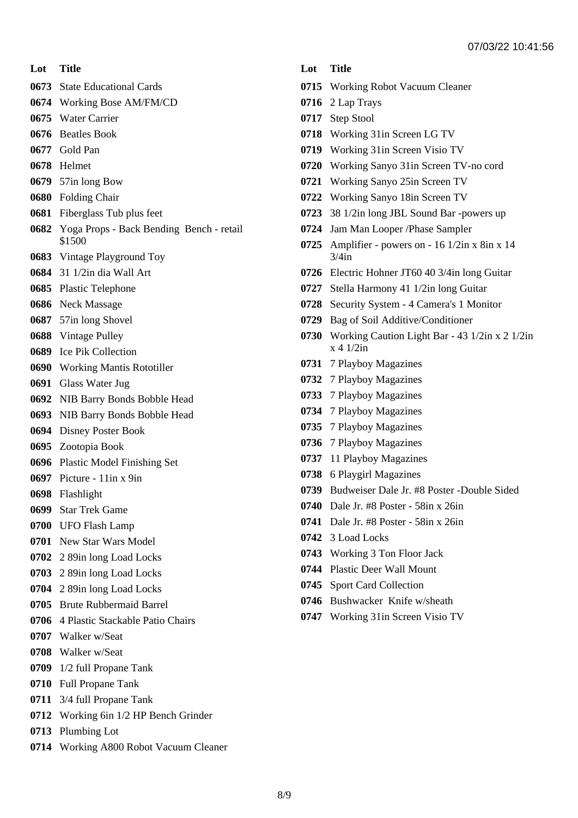- **Lot Title**
- State Educational Cards
- Working Bose AM/FM/CD
- Water Carrier
- Beatles Book
- Gold Pan
- Helmet
- 57in long Bow
- Folding Chair
- Fiberglass Tub plus feet
- Yoga Props Back Bending Bench retail \$1500
- Vintage Playground Toy
- 31 1/2in dia Wall Art
- Plastic Telephone
- Neck Massage
- 57in long Shovel
- Vintage Pulley
- Ice Pik Collection
- Working Mantis Rototiller
- Glass Water Jug
- NIB Barry Bonds Bobble Head
- NIB Barry Bonds Bobble Head
- Disney Poster Book
- Zootopia Book
- Plastic Model Finishing Set
- Picture 11in x 9in
- Flashlight
- Star Trek Game
- UFO Flash Lamp
- New Star Wars Model
- 2 89in long Load Locks
- 2 89in long Load Locks
- 2 89in long Load Locks
- Brute Rubbermaid Barrel
- 4 Plastic Stackable Patio Chairs
- Walker w/Seat
- Walker w/Seat
- 1/2 full Propane Tank
- Full Propane Tank
- 3/4 full Propane Tank
- Working 6in 1/2 HP Bench Grinder
- Plumbing Lot
- Working A800 Robot Vacuum Cleaner

#### **Lot Title**

- Working Robot Vacuum Cleaner
- 2 Lap Trays
- Step Stool
- Working 31in Screen LG TV
- Working 31in Screen Visio TV
- Working Sanyo 31in Screen TV-no cord
- Working Sanyo 25in Screen TV
- Working Sanyo 18in Screen TV
- 38 1/2in long JBL Sound Bar -powers up
- Jam Man Looper /Phase Sampler
- Amplifier powers on 16 1/2in x 8in x 14 3/4in
- Electric Hohner JT60 40 3/4in long Guitar
- Stella Harmony 41 1/2in long Guitar
- Security System 4 Camera's 1 Monitor
- Bag of Soil Additive/Conditioner
- Working Caution Light Bar 43 1/2in x 2 1/2in  $x \neq 1/2$ in
- 7 Playboy Magazines
- 7 Playboy Magazines
- 7 Playboy Magazines
- 7 Playboy Magazines
- 7 Playboy Magazines
- 7 Playboy Magazines
- 11 Playboy Magazines
- 6 Playgirl Magazines
- Budweiser Dale Jr. #8 Poster -Double Sided
- Dale Jr. #8 Poster 58in x 26in
- Dale Jr. #8 Poster 58in x 26in
- 3 Load Locks
- Working 3 Ton Floor Jack
- Plastic Deer Wall Mount
- Sport Card Collection
- Bushwacker Knife w/sheath
- Working 31in Screen Visio TV